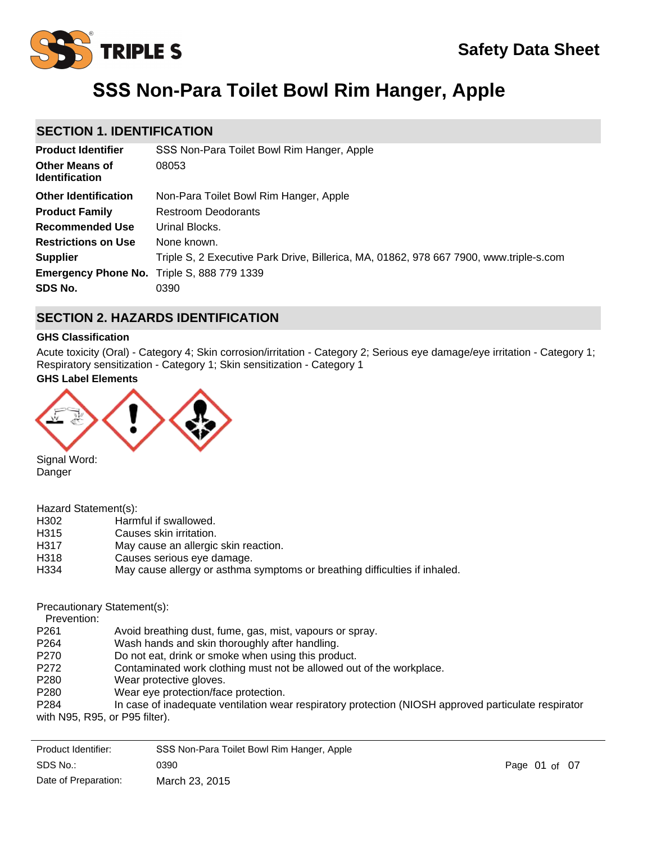

# **SSS Non-Para Toilet Bowl Rim Hanger, Apple**

## **SECTION 1. IDENTIFICATION**

| <b>Product Identifier</b>                         | SSS Non-Para Toilet Bowl Rim Hanger, Apple                                             |
|---------------------------------------------------|----------------------------------------------------------------------------------------|
| <b>Other Means of</b><br><b>Identification</b>    | 08053                                                                                  |
| <b>Other Identification</b>                       | Non-Para Toilet Bowl Rim Hanger, Apple                                                 |
| <b>Product Family</b>                             | <b>Restroom Deodorants</b>                                                             |
| <b>Recommended Use</b>                            | Urinal Blocks.                                                                         |
| <b>Restrictions on Use</b>                        | None known.                                                                            |
| <b>Supplier</b>                                   | Triple S, 2 Executive Park Drive, Billerica, MA, 01862, 978 667 7900, www.triple-s.com |
| <b>Emergency Phone No.</b> Triple S, 888 779 1339 |                                                                                        |
| SDS No.                                           | 0390                                                                                   |

## **SECTION 2. HAZARDS IDENTIFICATION**

### **GHS Classification**

Acute toxicity (Oral) - Category 4; Skin corrosion/irritation - Category 2; Serious eye damage/eye irritation - Category 1; Respiratory sensitization - Category 1; Skin sensitization - Category 1

### **GHS Label Elements**



Signal Word: Danger

| Hazard Statement(s): |  |  |  |
|----------------------|--|--|--|
|----------------------|--|--|--|

- H302 Harmful if swallowed.
- H315 Causes skin irritation.
- H317 May cause an allergic skin reaction.
- H318 Causes serious eye damage.
- H334 May cause allergy or asthma symptoms or breathing difficulties if inhaled.

Precautionary Statement(s):

Prevention:

- P261 Avoid breathing dust, fume, gas, mist, vapours or spray.
- P264 Wash hands and skin thoroughly after handling.
- P270 Do not eat, drink or smoke when using this product.
- P272 Contaminated work clothing must not be allowed out of the workplace.
- P280 Wear protective gloves.
- P280 Wear eye protection/face protection.
- P284 In case of inadequate ventilation wear respiratory protection (NIOSH approved particulate respirator with N95, R95, or P95 filter).

| Product Identifier:  | SSS Non-Para Toilet Bowl Rim Hanger, Apple |               |  |
|----------------------|--------------------------------------------|---------------|--|
| SDS No.:             | 0390                                       | Page 01 of 07 |  |
| Date of Preparation: | March 23, 2015                             |               |  |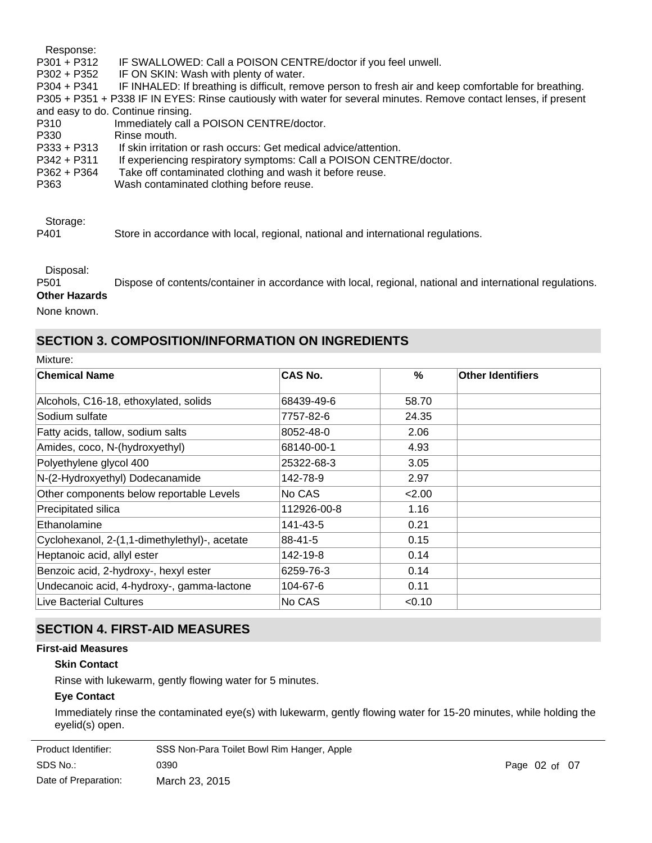Response: P301 + P312 IF SWALLOWED: Call a POISON CENTRE/doctor if you feel unwell. P302 + P352 IF ON SKIN: Wash with plenty of water. P304 + P341 IF INHALED: If breathing is difficult, remove person to fresh air and keep comfortable for breathing. P305 + P351 + P338 IF IN EYES: Rinse cautiously with water for several minutes. Remove contact lenses, if present and easy to do. Continue rinsing. P310 Immediately call a POISON CENTRE/doctor. P330 Rinse mouth. P333 + P313 If skin irritation or rash occurs: Get medical advice/attention. P342 + P311 If experiencing respiratory symptoms: Call a POISON CENTRE/doctor. P362 + P364 Take off contaminated clothing and wash it before reuse. P363 Wash contaminated clothing before reuse.

Storage:

P401 Store in accordance with local, regional, national and international regulations.

Disposal:

P501 Dispose of contents/container in accordance with local, regional, national and international regulations. **Other Hazards**

None known.

## **SECTION 3. COMPOSITION/INFORMATION ON INGREDIENTS**

| VIIXTUL |  |
|---------|--|
|         |  |

| <b>Chemical Name</b>                          | CAS No.     | $\frac{0}{2}$ | <b>Other Identifiers</b> |
|-----------------------------------------------|-------------|---------------|--------------------------|
| Alcohols, C16-18, ethoxylated, solids         | 68439-49-6  | 58.70         |                          |
| Sodium sulfate                                | 7757-82-6   | 24.35         |                          |
| Fatty acids, tallow, sodium salts             | 8052-48-0   | 2.06          |                          |
| Amides, coco, N-(hydroxyethyl)                | 68140-00-1  | 4.93          |                          |
| Polyethylene glycol 400                       | 25322-68-3  | 3.05          |                          |
| N-(2-Hydroxyethyl) Dodecanamide               | 142-78-9    | 2.97          |                          |
| Other components below reportable Levels      | No CAS      | 2.00          |                          |
| Precipitated silica                           | 112926-00-8 | 1.16          |                          |
| Ethanolamine                                  | 141-43-5    | 0.21          |                          |
| Cyclohexanol, 2-(1,1-dimethylethyl)-, acetate | 88-41-5     | 0.15          |                          |
| Heptanoic acid, allyl ester                   | 142-19-8    | 0.14          |                          |
| Benzoic acid, 2-hydroxy-, hexyl ester         | 6259-76-3   | 0.14          |                          |
| Undecanoic acid, 4-hydroxy-, gamma-lactone    | 104-67-6    | 0.11          |                          |
| <b>Live Bacterial Cultures</b>                | No CAS      | < 0.10        |                          |

## **SECTION 4. FIRST-AID MEASURES**

### **First-aid Measures**

## **Skin Contact**

Rinse with lukewarm, gently flowing water for 5 minutes.

### **Eye Contact**

Immediately rinse the contaminated eye(s) with lukewarm, gently flowing water for 15-20 minutes, while holding the eyelid(s) open.

| Product Identifier:  | SSS Non-Para Toilet Bowl Rim Hanger, Apple |
|----------------------|--------------------------------------------|
| SDS No.:             | 0390                                       |
| Date of Preparation: | March 23, 2015                             |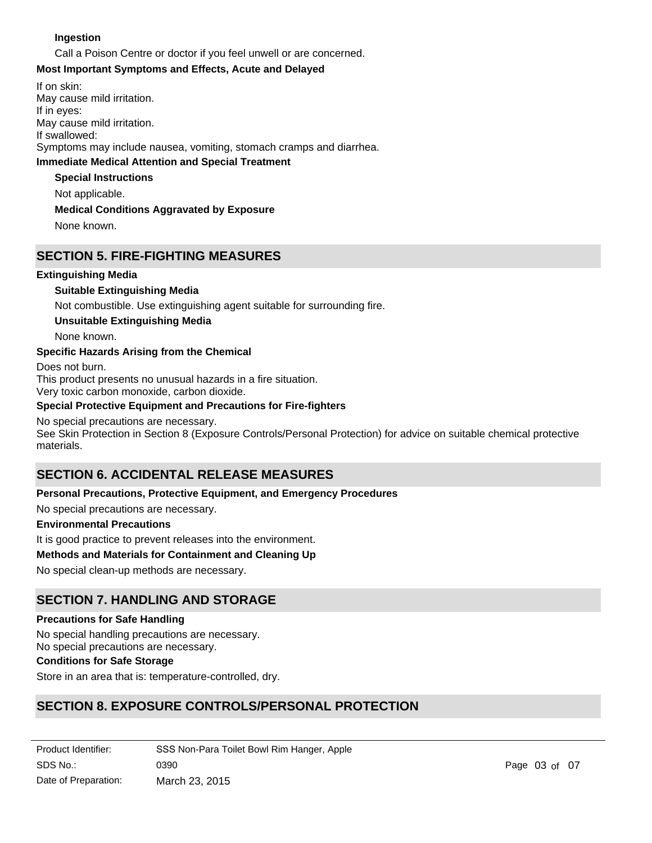### **Ingestion**

Call a Poison Centre or doctor if you feel unwell or are concerned.

### **Most Important Symptoms and Effects, Acute and Delayed**

**Immediate Medical Attention and Special Treatment** If on skin: May cause mild irritation. If in eyes: May cause mild irritation. If swallowed: Symptoms may include nausea, vomiting, stomach cramps and diarrhea.

### **Special Instructions**

Not applicable.

### **Medical Conditions Aggravated by Exposure**

None known.

## **SECTION 5. FIRE-FIGHTING MEASURES**

### **Extinguishing Media**

### **Suitable Extinguishing Media**

Not combustible. Use extinguishing agent suitable for surrounding fire.

### **Unsuitable Extinguishing Media**

None known.

### **Specific Hazards Arising from the Chemical**

Does not burn. This product presents no unusual hazards in a fire situation. Very toxic carbon monoxide, carbon dioxide.

### **Special Protective Equipment and Precautions for Fire-fighters**

### No special precautions are necessary.

See Skin Protection in Section 8 (Exposure Controls/Personal Protection) for advice on suitable chemical protective materials.

## **SECTION 6. ACCIDENTAL RELEASE MEASURES**

### **Personal Precautions, Protective Equipment, and Emergency Procedures**

No special precautions are necessary.

### **Environmental Precautions**

It is good practice to prevent releases into the environment.

### **Methods and Materials for Containment and Cleaning Up**

No special clean-up methods are necessary.

## **SECTION 7. HANDLING AND STORAGE**

### **Precautions for Safe Handling**

No special handling precautions are necessary.

## No special precautions are necessary.

## **Conditions for Safe Storage**

Store in an area that is: temperature-controlled, dry.

## **SECTION 8. EXPOSURE CONTROLS/PERSONAL PROTECTION**

| Product Identifier:  | SSS Non-Para Toilet Bowl Rim Hanger, Apple |
|----------------------|--------------------------------------------|
| SDS No.:             | 0390                                       |
| Date of Preparation: | March 23, 2015                             |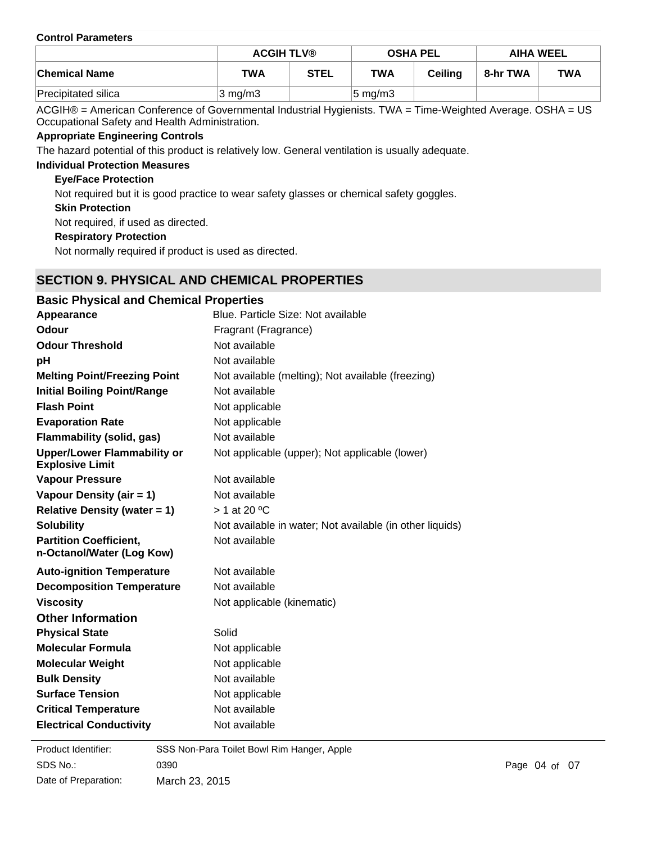#### **Control Parameters**

|                      | <b>ACGIH TLV®</b><br><b>OSHA PEL</b> |             |                     | <b>AIHA WEEL</b> |          |            |
|----------------------|--------------------------------------|-------------|---------------------|------------------|----------|------------|
| <b>Chemical Name</b> | <b>TWA</b>                           | <b>STEL</b> | <b>TWA</b>          | <b>Ceiling</b>   | 8-hr TWA | <b>TWA</b> |
| Precipitated silica  | $3 \text{ mg/m}$ 3                   |             | $ 5 \text{ mg/m}$ 3 |                  |          |            |

ACGIH® = American Conference of Governmental Industrial Hygienists. TWA = Time-Weighted Average. OSHA = US Occupational Safety and Health Administration.

### **Appropriate Engineering Controls**

The hazard potential of this product is relatively low. General ventilation is usually adequate.

## **Individual Protection Measures**

### **Eye/Face Protection**

Not required but it is good practice to wear safety glasses or chemical safety goggles.

**Skin Protection**

Not required, if used as directed.

**Respiratory Protection**

Not normally required if product is used as directed.

## **SECTION 9. PHYSICAL AND CHEMICAL PROPERTIES**

| <b>Basic Physical and Chemical Properties</b>                |                                                          |
|--------------------------------------------------------------|----------------------------------------------------------|
| Appearance                                                   | Blue. Particle Size: Not available                       |
| Odour                                                        | Fragrant (Fragrance)                                     |
| <b>Odour Threshold</b>                                       | Not available                                            |
| pH                                                           | Not available                                            |
| <b>Melting Point/Freezing Point</b>                          | Not available (melting); Not available (freezing)        |
| <b>Initial Boiling Point/Range</b>                           | Not available                                            |
| <b>Flash Point</b>                                           | Not applicable                                           |
| <b>Evaporation Rate</b>                                      | Not applicable                                           |
| <b>Flammability (solid, gas)</b>                             | Not available                                            |
| <b>Upper/Lower Flammability or</b><br><b>Explosive Limit</b> | Not applicable (upper); Not applicable (lower)           |
| <b>Vapour Pressure</b>                                       | Not available                                            |
| Vapour Density (air = 1)                                     | Not available                                            |
| <b>Relative Density (water = 1)</b>                          | $> 1$ at 20 °C                                           |
| <b>Solubility</b>                                            | Not available in water; Not available (in other liquids) |
| <b>Partition Coefficient,</b><br>n-Octanol/Water (Log Kow)   | Not available                                            |
| <b>Auto-ignition Temperature</b>                             | Not available                                            |
| <b>Decomposition Temperature</b>                             | Not available                                            |
| <b>Viscosity</b>                                             | Not applicable (kinematic)                               |
| <b>Other Information</b>                                     |                                                          |
| <b>Physical State</b>                                        | Solid                                                    |
| <b>Molecular Formula</b>                                     | Not applicable                                           |
| <b>Molecular Weight</b>                                      | Not applicable                                           |
| <b>Bulk Density</b>                                          | Not available                                            |
| <b>Surface Tension</b>                                       | Not applicable                                           |
| <b>Critical Temperature</b>                                  | Not available                                            |
| <b>Electrical Conductivity</b>                               | Not available                                            |

**Product Identifier:** SDS No.: Date of Preparation: 0390 **Page 04 of 07** March 23, 2015 SSS Non-Para Toilet Bowl Rim Hanger, Apple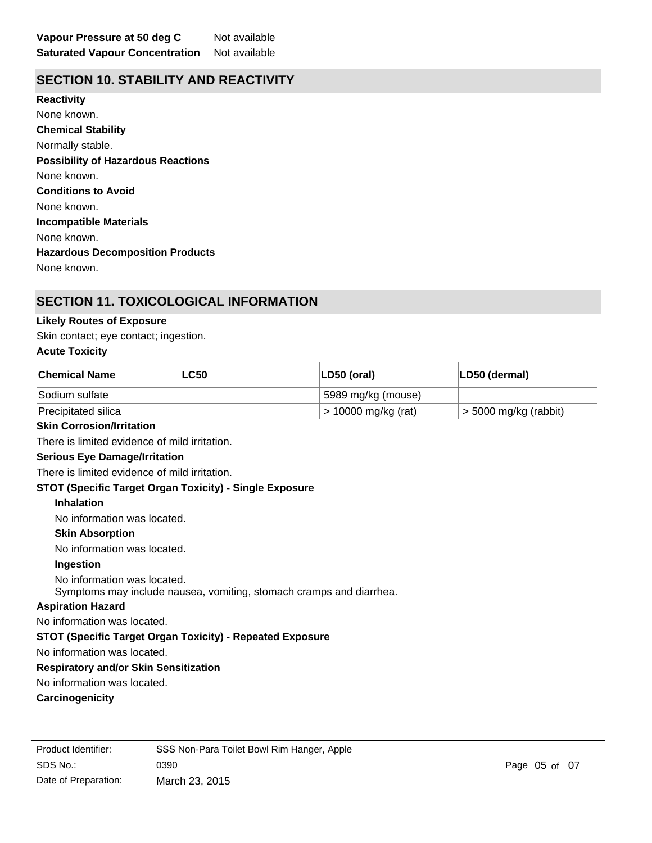## **SECTION 10. STABILITY AND REACTIVITY**

**Chemical Stability** Normally stable. **Conditions to Avoid** None known. **Incompatible Materials** None known. **Hazardous Decomposition Products** None known. **Possibility of Hazardous Reactions** None known. **Reactivity** None known.

## **SECTION 11. TOXICOLOGICAL INFORMATION**

### **Likely Routes of Exposure**

Skin contact; eye contact; ingestion.

### **Acute Toxicity**

| <b>Chemical Name</b>                                             | <b>LC50</b>                                                         | LD50 (oral)         | LD50 (dermal)           |
|------------------------------------------------------------------|---------------------------------------------------------------------|---------------------|-------------------------|
| Sodium sulfate                                                   |                                                                     | 5989 mg/kg (mouse)  |                         |
| Precipitated silica                                              |                                                                     | > 10000 mg/kg (rat) | $>$ 5000 mg/kg (rabbit) |
| <b>Skin Corrosion/Irritation</b>                                 |                                                                     |                     |                         |
| There is limited evidence of mild irritation.                    |                                                                     |                     |                         |
| <b>Serious Eye Damage/Irritation</b>                             |                                                                     |                     |                         |
| There is limited evidence of mild irritation.                    |                                                                     |                     |                         |
| STOT (Specific Target Organ Toxicity) - Single Exposure          |                                                                     |                     |                         |
| <b>Inhalation</b>                                                |                                                                     |                     |                         |
| No information was located.                                      |                                                                     |                     |                         |
| <b>Skin Absorption</b>                                           |                                                                     |                     |                         |
| No information was located.                                      |                                                                     |                     |                         |
| Ingestion                                                        |                                                                     |                     |                         |
| No information was located.                                      | Symptoms may include nausea, vomiting, stomach cramps and diarrhea. |                     |                         |
| <b>Aspiration Hazard</b>                                         |                                                                     |                     |                         |
| No information was located.                                      |                                                                     |                     |                         |
| <b>STOT (Specific Target Organ Toxicity) - Repeated Exposure</b> |                                                                     |                     |                         |
| No information was located.                                      |                                                                     |                     |                         |
| <b>Respiratory and/or Skin Sensitization</b>                     |                                                                     |                     |                         |
| No information was located.                                      |                                                                     |                     |                         |
| Carcinogenicity                                                  |                                                                     |                     |                         |
|                                                                  |                                                                     |                     |                         |

SDS No.: 0390 **Page 05 of 07** Product Identifier: SSS Non-Para Toilet Bowl Rim Hanger, Apple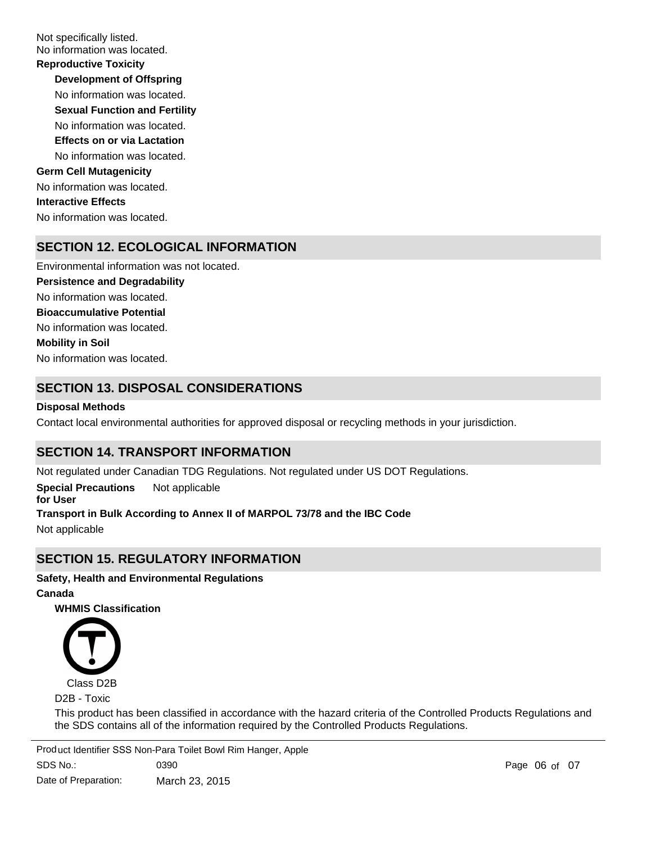Not specifically listed. No information was located.

**Development of Offspring** No information was located. **Reproductive Toxicity** No information was located. **Germ Cell Mutagenicity** No information was located. **Interactive Effects** No information was located. **Sexual Function and Fertility Effects on or via Lactation** No information was located.

## **SECTION 12. ECOLOGICAL INFORMATION**

No information was located. No information was located. Environmental information was not located. No information was located. **Persistence and Degradability Mobility in Soil Bioaccumulative Potential**

## **SECTION 13. DISPOSAL CONSIDERATIONS**

### **Disposal Methods**

Contact local environmental authorities for approved disposal or recycling methods in your jurisdiction.

## **SECTION 14. TRANSPORT INFORMATION**

Not regulated under Canadian TDG Regulations. Not regulated under US DOT Regulations.

**Special Precautions for User** Not applicable **Transport in Bulk According to Annex II of MARPOL 73/78 and the IBC Code**

Not applicable

## **SECTION 15. REGULATORY INFORMATION**

## **Safety, Health and Environmental Regulations**

**Canada**

**WHMIS Classification**



D2B - Toxic

This product has been classified in accordance with the hazard criteria of the Controlled Products Regulations and the SDS contains all of the information required by the Controlled Products Regulations.

SDS No.: Date of Preparation: 0390 Page of 0706 March 23, 2015 Product Identifier SSS Non-Para Toilet Bowl Rim Hanger, Apple